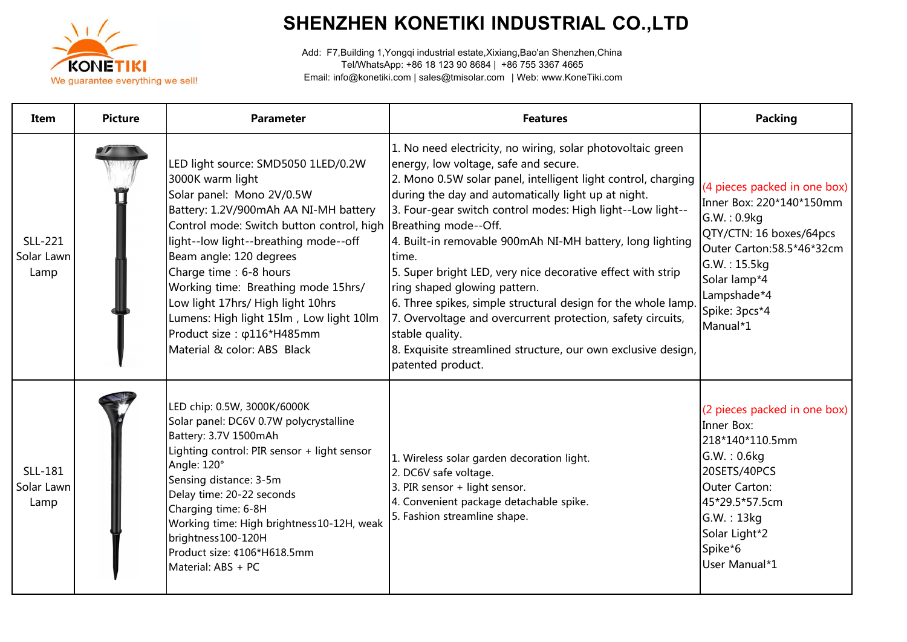

## **SHENZHEN KONETIKI INDUSTRIAL CO.,LTD**

Add: F7,Building 1,Yongqi industrial estate,Xixiang,Bao'an Shenzhen,China Tel/WhatsApp: +86 18 123 90 8684 | +86 755 3367 4665 Email: info@konetiki.com | sales@tmisolar.com | Web: www.KoneTiki.com

| Item                          | <b>Picture</b> | <b>Parameter</b>                                                                                                                                                                                                                                                                                                                                                                                                                                                                           | <b>Features</b>                                                                                                                                                                                                                                                                                                                                                                                                                                                                                                                                                                                                                                                                                          | <b>Packing</b>                                                                                                                                                                                              |
|-------------------------------|----------------|--------------------------------------------------------------------------------------------------------------------------------------------------------------------------------------------------------------------------------------------------------------------------------------------------------------------------------------------------------------------------------------------------------------------------------------------------------------------------------------------|----------------------------------------------------------------------------------------------------------------------------------------------------------------------------------------------------------------------------------------------------------------------------------------------------------------------------------------------------------------------------------------------------------------------------------------------------------------------------------------------------------------------------------------------------------------------------------------------------------------------------------------------------------------------------------------------------------|-------------------------------------------------------------------------------------------------------------------------------------------------------------------------------------------------------------|
| SLL-221<br>Solar Lawn<br>Lamp |                | LED light source: SMD5050 1LED/0.2W<br>3000K warm light<br>Solar panel: Mono 2V/0.5W<br>Battery: 1.2V/900mAh AA NI-MH battery<br>Control mode: Switch button control, high Breathing mode--Off.<br>light--low light--breathing mode--off<br>Beam angle: 120 degrees<br>Charge time : 6-8 hours<br>Working time: Breathing mode 15hrs/<br>Low light 17hrs/ High light 10hrs<br>Lumens: High light 15lm, Low light 10lm<br>Product size: $\varphi$ 116*H485mm<br>Material & color: ABS Black | 1. No need electricity, no wiring, solar photovoltaic green<br>energy, low voltage, safe and secure.<br>2. Mono 0.5W solar panel, intelligent light control, charging<br>during the day and automatically light up at night.<br>3. Four-gear switch control modes: High light--Low light--<br>4. Built-in removable 900mAh NI-MH battery, long lighting<br>time.<br>5. Super bright LED, very nice decorative effect with strip<br>ring shaped glowing pattern.<br>6. Three spikes, simple structural design for the whole lamp.<br>7. Overvoltage and overcurrent protection, safety circuits,<br>stable quality.<br>8. Exquisite streamlined structure, our own exclusive design,<br>patented product. | (4 pieces packed in one box)<br>Inner Box: 220*140*150mm<br>G.W.: 0.9kg<br>QTY/CTN: 16 boxes/64pcs<br>Outer Carton:58.5*46*32cm<br>G.W.: 15.5kg<br>Solar lamp*4<br>Lampshade*4<br>Spike: 3pcs*4<br>Manual*1 |
| SLL-181<br>Solar Lawn<br>Lamp |                | LED chip: 0.5W, 3000K/6000K<br>Solar panel: DC6V 0.7W polycrystalline<br>Battery: 3.7V 1500mAh<br>Lighting control: PIR sensor + light sensor<br>Angle: 120°<br>Sensing distance: 3-5m<br>Delay time: 20-22 seconds<br>Charging time: 6-8H<br>Working time: High brightness10-12H, weak<br>brightness100-120H<br>Product size: ¢106*H618.5mm<br>Material: ABS + PC                                                                                                                         | 1. Wireless solar garden decoration light.<br>2. DC6V safe voltage.<br>3. PIR sensor + light sensor.<br>4. Convenient package detachable spike.<br>5. Fashion streamline shape.                                                                                                                                                                                                                                                                                                                                                                                                                                                                                                                          | (2 pieces packed in one box)<br>Inner Box:<br>218*140*110.5mm<br>G.W.: 0.6kg<br>20SETS/40PCS<br>Outer Carton:<br>45*29.5*57.5cm<br>G.W. : 13kg<br>Solar Light*2<br>Spike*6<br>User Manual*1                 |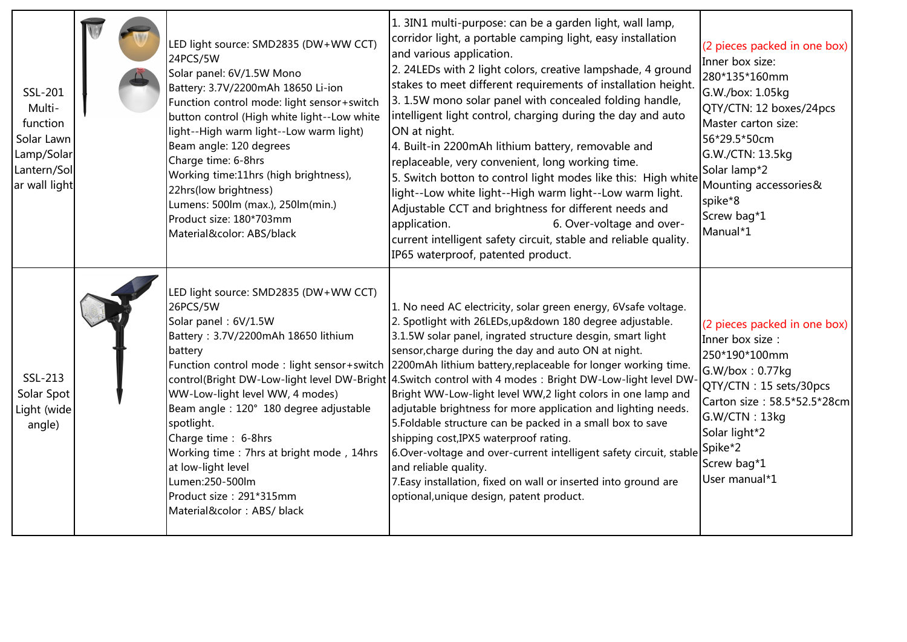| SSL-201<br>Multi-<br>function<br>Solar Lawn<br>Lamp/Solar<br>Lantern/Sol<br>ar wall light | LED light source: SMD2835 (DW+WW CCT)<br>24PCS/5W<br>Solar panel: 6V/1.5W Mono<br>Battery: 3.7V/2200mAh 18650 Li-ion<br>Function control mode: light sensor+switch<br>button control (High white light--Low white<br>light--High warm light--Low warm light)<br>Beam angle: 120 degrees<br>Charge time: 6-8hrs<br>Working time:11hrs (high brightness),<br>22hrs(low brightness)<br>Lumens: 500lm (max.), 250lm(min.)<br>Product size: 180*703mm<br>Material&color: ABS/black | 1. 3IN1 multi-purpose: can be a garden light, wall lamp,<br>corridor light, a portable camping light, easy installation<br>and various application.<br>2. 24LEDs with 2 light colors, creative lampshade, 4 ground<br>stakes to meet different requirements of installation height.<br>3. 1.5W mono solar panel with concealed folding handle,<br>intelligent light control, charging during the day and auto<br>ON at night.<br>4. Built-in 2200mAh lithium battery, removable and<br>replaceable, very convenient, long working time.<br>5. Switch botton to control light modes like this: High white<br>light--Low white light--High warm light--Low warm light.<br>Adjustable CCT and brightness for different needs and<br>6. Over-voltage and over-<br>application.<br>current intelligent safety circuit, stable and reliable quality.<br>IP65 waterproof, patented product.                                                   | (2 pieces packed in one box)<br>Inner box size:<br>280*135*160mm<br>G.W./box: 1.05kg<br>QTY/CTN: 12 boxes/24pcs<br>Master carton size:<br>56*29.5*50cm<br>G.W./CTN: 13.5kg<br>Solar lamp*2<br>Mounting accessories&<br>spike*8<br>Screw bag*1<br>Manual*1 |
|-------------------------------------------------------------------------------------------|-------------------------------------------------------------------------------------------------------------------------------------------------------------------------------------------------------------------------------------------------------------------------------------------------------------------------------------------------------------------------------------------------------------------------------------------------------------------------------|----------------------------------------------------------------------------------------------------------------------------------------------------------------------------------------------------------------------------------------------------------------------------------------------------------------------------------------------------------------------------------------------------------------------------------------------------------------------------------------------------------------------------------------------------------------------------------------------------------------------------------------------------------------------------------------------------------------------------------------------------------------------------------------------------------------------------------------------------------------------------------------------------------------------------------------|-----------------------------------------------------------------------------------------------------------------------------------------------------------------------------------------------------------------------------------------------------------|
| SSL-213<br>Solar Spot<br>Light (wide<br>angle)                                            | LED light source: SMD2835 (DW+WW CCT)<br>26PCS/5W<br>Solar panel: 6V/1.5W<br>Battery: 3.7V/2200mAh 18650 lithium<br>battery<br>WW-Low-light level WW, 4 modes)<br>Beam angle: 120° 180 degree adjustable<br>spotlight.<br>Charge time : 6-8hrs<br>Working time: 7hrs at bright mode, 14hrs<br>at low-light level<br>Lumen:250-500lm<br>Product size: 291*315mm<br>Material&color: ABS/ black                                                                                  | 1. No need AC electricity, solar green energy, 6Vsafe voltage.<br>2. Spotlight with 26LEDs, up&down 180 degree adjustable.<br>3.1.5W solar panel, ingrated structure desgin, smart light<br>sensor, charge during the day and auto ON at night.<br>Function control mode : light sensor+switch 2200mAh lithium battery, replaceable for longer working time.<br>control(Bright DW-Low-light level DW-Bright 4.Switch control with 4 modes: Bright DW-Low-light level DW-<br>Bright WW-Low-light level WW,2 light colors in one lamp and<br>adjutable brightness for more application and lighting needs.<br>5. Foldable structure can be packed in a small box to save<br>shipping cost, IPX5 waterproof rating.<br>6.Over-voltage and over-current intelligent safety circuit, stable Spike*2<br>and reliable quality.<br>7. Easy installation, fixed on wall or inserted into ground are<br>optional, unique design, patent product. | (2 pieces packed in one box)<br>Inner box size :<br>250*190*100mm<br>G.W/box: 0.77kg<br>QTY/CTN: 15 sets/30pcs<br>Carton size: 58.5*52.5*28cm<br>G.W/CTN: 13kg<br>Solar light*2<br>Screw bag*1<br>User manual*1                                           |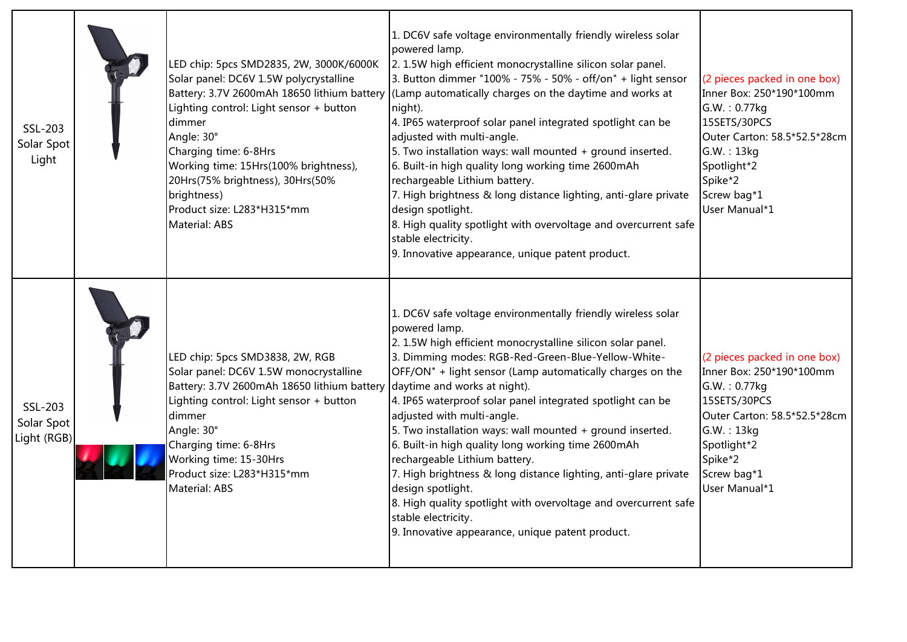| SSL-203<br>Solar Spot<br>Light       | LED chip: 5pcs SMD2835, 2W, 3000K/6000K<br>Solar panel: DC6V 1.5W polycrystalline<br>Battery: 3.7V 2600mAh 18650 lithium battery<br>Lighting control: Light sensor + button<br>dimmer<br>Angle: 30°<br>Charging time: 6-8Hrs<br>Working time: 15Hrs(100% brightness),<br>20Hrs(75% brightness), 30Hrs(50%<br>brightness)<br>Product size: L283*H315*mm<br><b>Material: ABS</b> | 1. DC6V safe voltage environmentally friendly wireless solar<br>powered lamp.<br>2. 1.5W high efficient monocrystalline silicon solar panel.<br>3. Button dimmer "100% - 75% - 50% - off/on" + light sensor<br>(Lamp automatically charges on the daytime and works at<br>night).<br>4. IP65 waterproof solar panel integrated spotlight can be<br>adjusted with multi-angle.<br>5. Two installation ways: wall mounted + ground inserted.<br>6. Built-in high quality long working time 2600mAh<br>rechargeable Lithium battery.<br>7. High brightness & long distance lighting, anti-glare private<br>design spotlight.<br>8. High quality spotlight with overvoltage and overcurrent safe<br>stable electricity.<br>9. Innovative appearance, unique patent product.               | (2 pieces packed in one box)<br>Inner Box: 250*190*100mm<br>G.W.: 0.77kg<br>15SETS/30PCS<br>Outer Carton: 58.5*52.5*28cm<br>G.W.:13kg<br>Spotlight*2<br>Spike*2<br>Screw bag*1<br>User Manual*1  |
|--------------------------------------|--------------------------------------------------------------------------------------------------------------------------------------------------------------------------------------------------------------------------------------------------------------------------------------------------------------------------------------------------------------------------------|---------------------------------------------------------------------------------------------------------------------------------------------------------------------------------------------------------------------------------------------------------------------------------------------------------------------------------------------------------------------------------------------------------------------------------------------------------------------------------------------------------------------------------------------------------------------------------------------------------------------------------------------------------------------------------------------------------------------------------------------------------------------------------------|--------------------------------------------------------------------------------------------------------------------------------------------------------------------------------------------------|
| SSL-203<br>Solar Spot<br>Light (RGB) | LED chip: 5pcs SMD3838, 2W, RGB<br>Solar panel: DC6V 1.5W monocrystalline<br>Battery: 3.7V 2600mAh 18650 lithium battery<br>Lighting control: Light sensor + button<br>dimmer<br>Angle: 30°<br>Charging time: 6-8Hrs<br>Working time: 15-30Hrs<br>Product size: L283*H315*mm<br>Material: ABS                                                                                  | 1. DC6V safe voltage environmentally friendly wireless solar<br>powered lamp.<br>2. 1.5W high efficient monocrystalline silicon solar panel.<br>3. Dimming modes: RGB-Red-Green-Blue-Yellow-White-<br>OFF/ON" + light sensor (Lamp automatically charges on the<br>daytime and works at night).<br>4. IP65 waterproof solar panel integrated spotlight can be<br>adjusted with multi-angle.<br>5. Two installation ways: wall mounted + ground inserted.<br>6. Built-in high quality long working time 2600mAh<br>rechargeable Lithium battery.<br>7. High brightness & long distance lighting, anti-glare private<br>design spotlight.<br>8. High quality spotlight with overvoltage and overcurrent safe<br>stable electricity.<br>9. Innovative appearance, unique patent product. | (2 pieces packed in one box)<br>Inner Box: 250*190*100mm<br>G.W.: 0.77kg<br>15SETS/30PCS<br>Outer Carton: 58.5*52.5*28cm<br>G.W.: 13kg<br>Spotlight*2<br>Spike*2<br>Screw bag*1<br>User Manual*1 |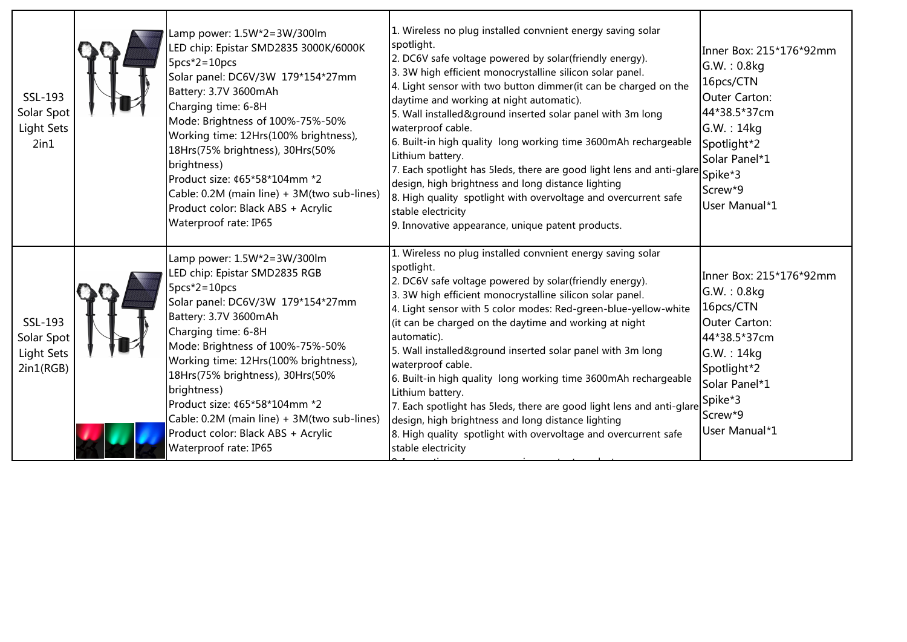| SSL-193<br>Solar Spot<br><b>Light Sets</b><br>2in1      | Lamp power: 1.5W*2=3W/300lm<br>LED chip: Epistar SMD2835 3000K/6000K<br>$5pcs*2=10pcs$<br>Solar panel: DC6V/3W 179*154*27mm<br>Battery: 3.7V 3600mAh<br>Charging time: 6-8H<br>Mode: Brightness of 100%-75%-50%<br>Working time: 12Hrs(100% brightness),<br>18Hrs(75% brightness), 30Hrs(50%<br>brightness)<br>Product size: ¢65*58*104mm *2<br>Cable: 0.2M (main line) + 3M(two sub-lines)<br>Product color: Black ABS + Acrylic<br>Waterproof rate: IP65 | 1. Wireless no plug installed convnient energy saving solar<br>spotlight.<br>2. DC6V safe voltage powered by solar(friendly energy).<br>3. 3W high efficient monocrystalline silicon solar panel.<br>4. Light sensor with two button dimmer (it can be charged on the<br>daytime and working at night automatic).<br>5. Wall installed&ground inserted solar panel with 3m long<br>waterproof cable.<br>6. Built-in high quality long working time 3600mAh rechargeable<br>Lithium battery.<br>7. Each spotlight has 5leds, there are good light lens and anti-glare $ {\sf spike^*3} $<br>design, high brightness and long distance lighting<br>8. High quality spotlight with overvoltage and overcurrent safe<br>stable electricity<br>9. Innovative appearance, unique patent products. | Inner Box: 215*176*92mm<br>G.W.: 0.8kg<br>16pcs/CTN<br>Outer Carton:<br>44*38.5*37cm<br>G.W. : 14kg<br>Spotlight*2<br>Solar Panel*1<br>Screw*9<br>User Manual*1          |
|---------------------------------------------------------|------------------------------------------------------------------------------------------------------------------------------------------------------------------------------------------------------------------------------------------------------------------------------------------------------------------------------------------------------------------------------------------------------------------------------------------------------------|---------------------------------------------------------------------------------------------------------------------------------------------------------------------------------------------------------------------------------------------------------------------------------------------------------------------------------------------------------------------------------------------------------------------------------------------------------------------------------------------------------------------------------------------------------------------------------------------------------------------------------------------------------------------------------------------------------------------------------------------------------------------------------------------|--------------------------------------------------------------------------------------------------------------------------------------------------------------------------|
| SSL-193<br>Solar Spot<br><b>Light Sets</b><br>2in1(RGB) | Lamp power: 1.5W*2=3W/300lm<br>LED chip: Epistar SMD2835 RGB<br>$5pcs*2=10pcs$<br>Solar panel: DC6V/3W 179*154*27mm<br>Battery: 3.7V 3600mAh<br>Charging time: 6-8H<br>Mode: Brightness of 100%-75%-50%<br>Working time: 12Hrs(100% brightness),<br>18Hrs(75% brightness), 30Hrs(50%<br>brightness)<br>Product size: ¢65*58*104mm *2<br>Cable: 0.2M (main line) + 3M(two sub-lines)<br>Product color: Black ABS + Acrylic<br>Waterproof rate: IP65         | L. Wireless no plug installed convnient energy saving solar<br>spotlight.<br>2. DC6V safe voltage powered by solar(friendly energy).<br>3. 3W high efficient monocrystalline silicon solar panel.<br>4. Light sensor with 5 color modes: Red-green-blue-yellow-white<br>(it can be charged on the daytime and working at night<br>automatic).<br>5. Wall installed&ground inserted solar panel with 3m long<br>waterproof cable.<br>6. Built-in high quality long working time 3600mAh rechargeable<br>Lithium battery.<br>7. Each spotlight has 5leds, there are good light lens and anti-glare<br>design, high brightness and long distance lighting<br>8. High quality spotlight with overvoltage and overcurrent safe<br>stable electricity                                             | Inner Box: 215*176*92mm<br>G.W.: 0.8kg<br>16pcs/CTN<br>Outer Carton:<br>44*38.5*37cm<br>G.W.:14kg<br>Spotlight*2<br>Solar Panel*1<br>Spike*3<br>Screw*9<br>User Manual*1 |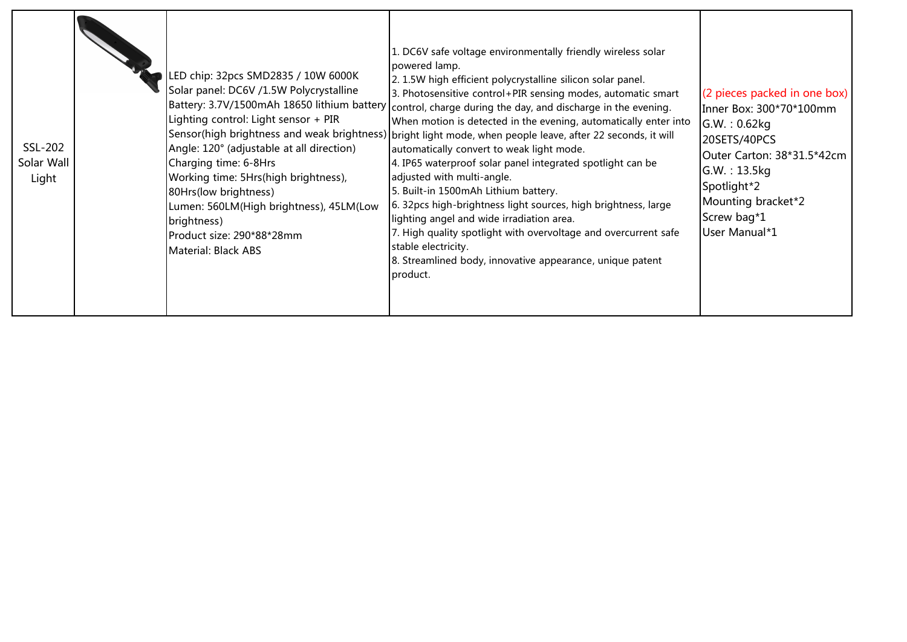| . DC6V safe voltage environmentally friendly wireless solar<br>powered lamp.<br>LED chip: 32pcs SMD2835 / 10W 6000K<br>2. 1.5W high efficient polycrystalline silicon solar panel.<br>Solar panel: DC6V /1.5W Polycrystalline<br>3. Photosensitive control+PIR sensing modes, automatic smart<br>Battery: 3.7V/1500mAh 18650 lithium battery<br>control, charge during the day, and discharge in the evening.<br>Lighting control: Light sensor + PIR<br>When motion is detected in the evening, automatically enter into<br>Sensor(high brightness and weak brightness) bright light mode, when people leave, after 22 seconds, it will<br>Angle: 120° (adjustable at all direction)<br>automatically convert to weak light mode.<br>Charging time: 6-8Hrs<br>4. IP65 waterproof solar panel integrated spotlight can be<br>adjusted with multi-angle.<br>Working time: 5Hrs(high brightness),<br>5. Built-in 1500mAh Lithium battery.<br>80Hrs(low brightness)<br>6. 32pcs high-brightness light sources, high brightness, large<br>Lumen: 560LM(High brightness), 45LM(Low<br>lighting angel and wide irradiation area.<br>brightness)<br>7. High quality spotlight with overvoltage and overcurrent safe<br>Product size: 290*88*28mm<br>stable electricity.<br>Material: Black ABS<br>8. Streamlined body, innovative appearance, unique patent<br>product. |
|------------------------------------------------------------------------------------------------------------------------------------------------------------------------------------------------------------------------------------------------------------------------------------------------------------------------------------------------------------------------------------------------------------------------------------------------------------------------------------------------------------------------------------------------------------------------------------------------------------------------------------------------------------------------------------------------------------------------------------------------------------------------------------------------------------------------------------------------------------------------------------------------------------------------------------------------------------------------------------------------------------------------------------------------------------------------------------------------------------------------------------------------------------------------------------------------------------------------------------------------------------------------------------------------------------------------------------------------------------------|
|------------------------------------------------------------------------------------------------------------------------------------------------------------------------------------------------------------------------------------------------------------------------------------------------------------------------------------------------------------------------------------------------------------------------------------------------------------------------------------------------------------------------------------------------------------------------------------------------------------------------------------------------------------------------------------------------------------------------------------------------------------------------------------------------------------------------------------------------------------------------------------------------------------------------------------------------------------------------------------------------------------------------------------------------------------------------------------------------------------------------------------------------------------------------------------------------------------------------------------------------------------------------------------------------------------------------------------------------------------------|